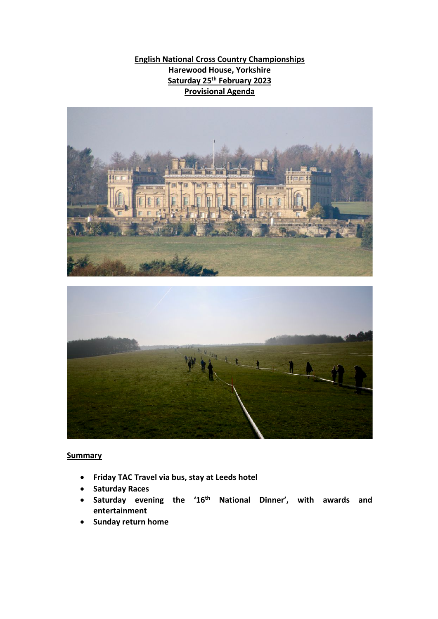**English National Cross Country Championships Harewood House, Yorkshire Saturday 25th February 2023 Provisional Agenda**





## **Summary**

- **Friday TAC Travel via bus, stay at Leeds hotel**
- **Saturday Races**
- **Saturday evening the '16th National Dinner', with awards and entertainment**
- **Sunday return home**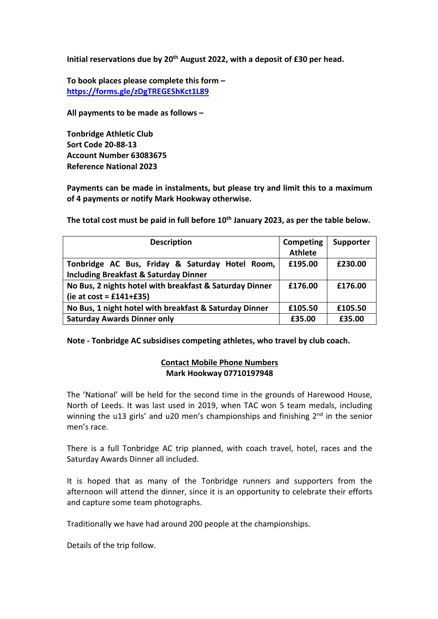**Initial reservations due by 20th August 2022, with a deposit of £30 per head.**

**To book places please complete this form – https://forms.gle/zDgTREGEShKct1L89**

**All payments to be made as follows –**

**Tonbridge Athletic Club Sort Code 20-88-13 Account Number 63083675 Reference National 2023**

**Payments can be made in instalments, but please try and limit this to a maximum of 4 payments or notify Mark Hookway otherwise.**

**Description Competing Athlete Supporter Tonbridge AC Bus, Friday & Saturday Hotel Room, Including Breakfast & Saturday Dinner £195.00 £230.00 No Bus, 2 nights hotel with breakfast & Saturday Dinner (ie at cost = £141+£35) £176.00 £176.00 No Bus, 1 night hotel with breakfast & Saturday Dinner** | £105.50 | £105.50 **Saturday Awards Dinner only £35.00 £35.00**

**The total cost must be paid in full before 10th January 2023, as per the table below.**

## **Note - Tonbridge AC subsidises competing athletes, who travel by club coach.**

## **Contact Mobile Phone Numbers Mark Hookway 07710197948**

The 'National' will be held for the second time in the grounds of Harewood House, North of Leeds. It was last used in 2019, when TAC won 5 team medals, including winning the u13 girls' and u20 men's championships and finishing  $2<sup>nd</sup>$  in the senior men's race.

There is a full Tonbridge AC trip planned, with coach travel, hotel, races and the Saturday Awards Dinner all included.

It is hoped that as many of the Tonbridge runners and supporters from the afternoon will attend the dinner, since it is an opportunity to celebrate their efforts and capture some team photographs.

Traditionally we have had around 200 people at the championships.

Details of the trip follow.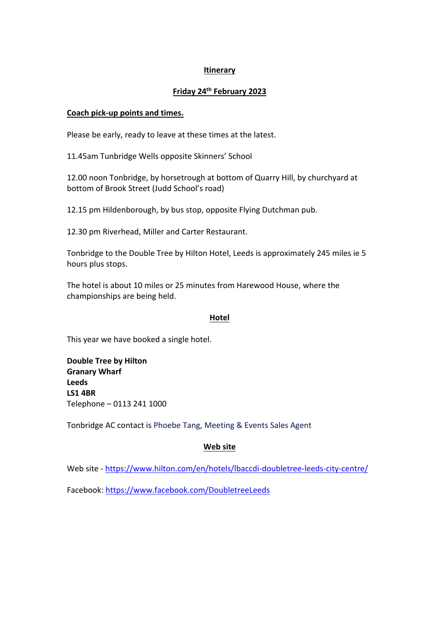### **Itinerary**

### **Friday 24th February 2023**

#### **Coach pick-up points and times.**

Please be early, ready to leave at these times at the latest.

11.45am Tunbridge Wells opposite Skinners' School

12.00 noon Tonbridge, by horsetrough at bottom of Quarry Hill, by churchyard at bottom of Brook Street (Judd School's road)

12.15 pm Hildenborough, by bus stop, opposite Flying Dutchman pub.

12.30 pm Riverhead, Miller and Carter Restaurant.

Tonbridge to the Double Tree by Hilton Hotel, Leeds is approximately 245 miles ie 5 hours plus stops.

The hotel is about 10 miles or 25 minutes from Harewood House, where the championships are being held.

#### **Hotel**

This year we have booked a single hotel.

**Double Tree by Hilton Granary Wharf Leeds LS1 4BR** Telephone – 0113 241 1000

Tonbridge AC contact is Phoebe Tang, Meeting & Events Sales Agent

## **Web site**

Web site - https://www.hilton.com/en/hotels/lbaccdi-doubletree-leeds-city-centre/

Facebook: https://www.facebook.com/DoubletreeLeeds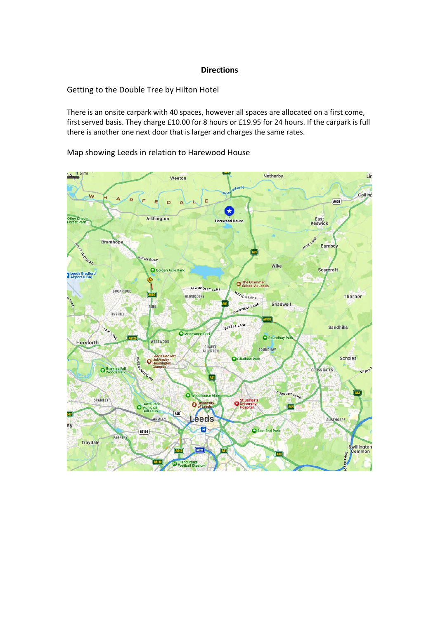#### **Directions**

Getting to the Double Tree by Hilton Hotel

There is an onsite carpark with 40 spaces, however all spaces are allocated on a first come, first served basis. They charge £10.00 for 8 hours or £19.95 for 24 hours. If the carpark is full there is another one next door that is larger and charges the same rates.

Map showing Leeds in relation to Harewood House

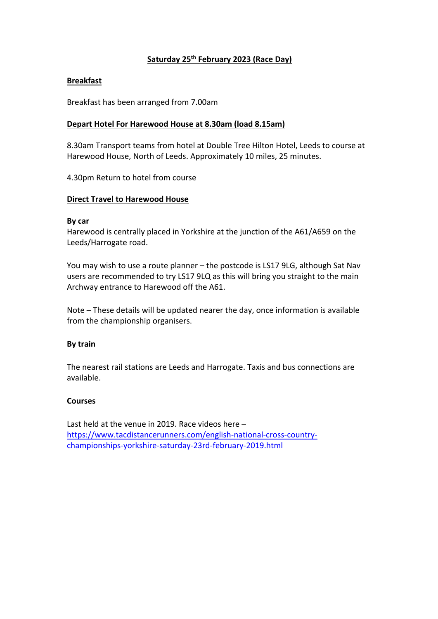## **Saturday 25th February 2023 (Race Day)**

### **Breakfast**

Breakfast has been arranged from 7.00am

#### **Depart Hotel For Harewood House at 8.30am (load 8.15am)**

8.30am Transport teams from hotel at Double Tree Hilton Hotel, Leeds to course at Harewood House, North of Leeds. Approximately 10 miles, 25 minutes.

4.30pm Return to hotel from course

#### **Direct Travel to Harewood House**

#### **By car**

Harewood is centrally placed in Yorkshire at the junction of the A61/A659 on the Leeds/Harrogate road.

You may wish to use a route planner – the postcode is LS17 9LG, although Sat Nav users are recommended to try LS17 9LQ as this will bring you straight to the main Archway entrance to Harewood off the A61.

Note – These details will be updated nearer the day, once information is available from the championship organisers.

#### **By train**

The nearest rail stations are Leeds and Harrogate. Taxis and bus connections are available.

#### **Courses**

Last held at the venue in 2019. Race videos here – https://www.tacdistancerunners.com/english-national-cross-countrychampionships-yorkshire-saturday-23rd-february-2019.html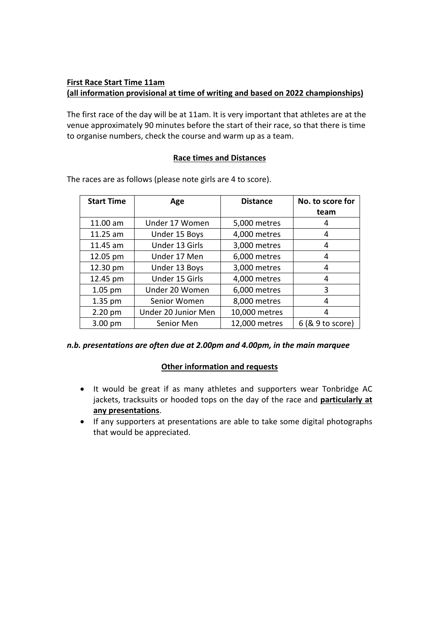## **First Race Start Time 11am (all information provisional at time of writing and based on 2022 championships)**

The first race of the day will be at 11am. It is very important that athletes are at the venue approximately 90 minutes before the start of their race, so that there is time to organise numbers, check the course and warm up as a team.

#### **Race times and Distances**

| <b>Start Time</b> | Age                 | <b>Distance</b> | No. to score for<br>team |
|-------------------|---------------------|-----------------|--------------------------|
| 11.00 am          | Under 17 Women      | 5,000 metres    | 4                        |
| 11.25 am          | Under 15 Boys       | 4,000 metres    | 4                        |
| 11.45 am          | Under 13 Girls      | 3,000 metres    | 4                        |
| 12.05 pm          | Under 17 Men        | 6,000 metres    | 4                        |
| 12.30 pm          | Under 13 Boys       | 3,000 metres    | 4                        |
| 12.45 pm          | Under 15 Girls      | 4,000 metres    | 4                        |
| $1.05$ pm         | Under 20 Women      | 6,000 metres    | 3                        |
| $1.35$ pm         | Senior Women        | 8,000 metres    | 4                        |
| 2.20 pm           | Under 20 Junior Men | 10,000 metres   | 4                        |
| $3.00$ pm         | Senior Men          | 12,000 metres   | $6$ ( $8$ $9$ to score)  |

The races are as follows (please note girls are 4 to score).

## *n.b. presentations are often due at 2.00pm and 4.00pm, in the main marquee*

## **Other information and requests**

- It would be great if as many athletes and supporters wear Tonbridge AC jackets, tracksuits or hooded tops on the day of the race and **particularly at any presentations**.
- If any supporters at presentations are able to take some digital photographs that would be appreciated.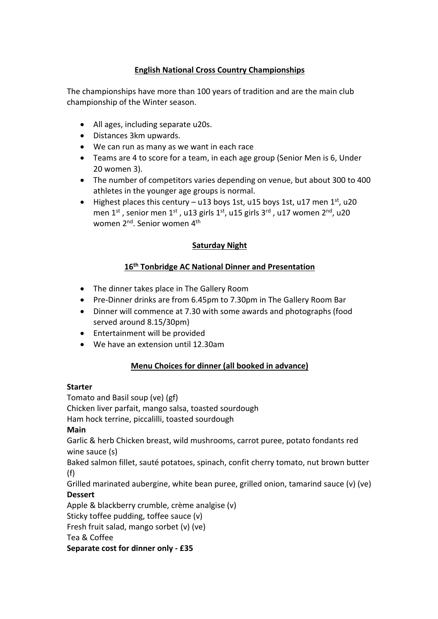## **English National Cross Country Championships**

The championships have more than 100 years of tradition and are the main club championship of the Winter season.

- All ages, including separate u20s.
- Distances 3km upwards.
- We can run as many as we want in each race
- Teams are 4 to score for a team, in each age group (Senior Men is 6, Under 20 women 3).
- The number of competitors varies depending on venue, but about 300 to 400 athletes in the younger age groups is normal.
- Highest places this century u13 boys 1st, u15 boys 1st, u17 men  $1^{st}$ , u20 men 1<sup>st</sup>, senior men 1<sup>st</sup>, u13 girls 1<sup>st</sup>, u15 girls 3<sup>rd</sup>, u17 women 2<sup>nd</sup>, u20 women 2<sup>nd</sup>. Senior women 4<sup>th</sup>

## **Saturday Night**

## **16th Tonbridge AC National Dinner and Presentation**

- The dinner takes place in The Gallery Room
- Pre-Dinner drinks are from 6.45pm to 7.30pm in The Gallery Room Bar
- Dinner will commence at 7.30 with some awards and photographs (food served around 8.15/30pm)
- Entertainment will be provided
- We have an extension until 12.30am

## **Menu Choices for dinner (all booked in advance)**

## **Starter**

Tomato and Basil soup (ve) (gf) Chicken liver parfait, mango salsa, toasted sourdough Ham hock terrine, piccalilli, toasted sourdough **Main** Garlic & herb Chicken breast, wild mushrooms, carrot puree, potato fondants red wine sauce (s) Baked salmon fillet, sauté potatoes, spinach, confit cherry tomato, nut brown butter (f) Grilled marinated aubergine, white bean puree, grilled onion, tamarind sauce (v) (ve) **Dessert** Apple & blackberry crumble, crème analgise (v) Sticky toffee pudding, toffee sauce (v) Fresh fruit salad, mango sorbet (v) (ve) Tea & Coffee **Separate cost for dinner only - £35**